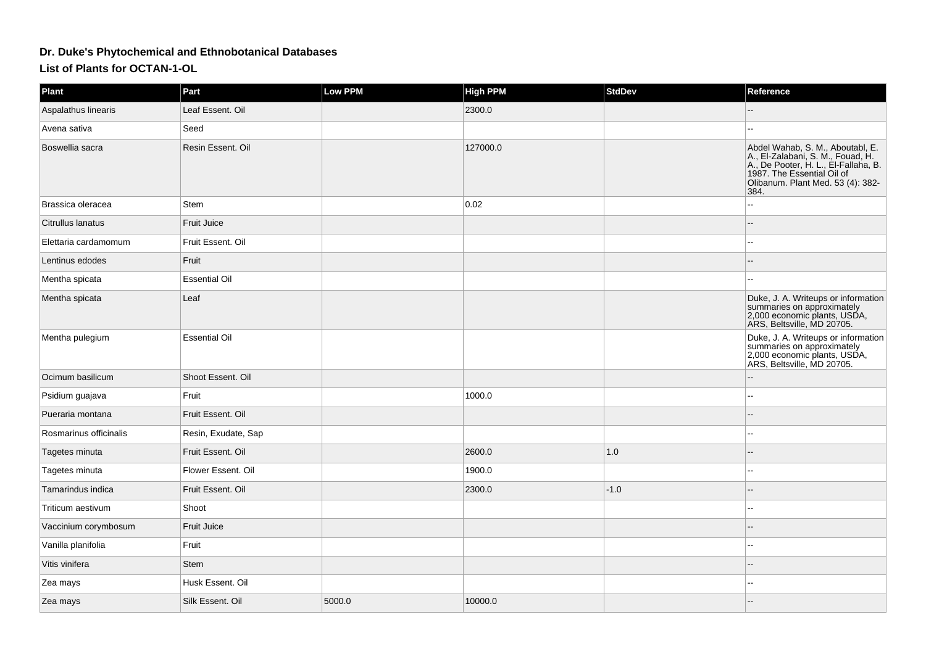## **Dr. Duke's Phytochemical and Ethnobotanical Databases**

**List of Plants for OCTAN-1-OL**

| <b>Plant</b>           | Part                 | Low PPM | <b>High PPM</b> | <b>StdDev</b> | Reference                                                                                                                                                                                |
|------------------------|----------------------|---------|-----------------|---------------|------------------------------------------------------------------------------------------------------------------------------------------------------------------------------------------|
| Aspalathus linearis    | Leaf Essent. Oil     |         | 2300.0          |               |                                                                                                                                                                                          |
| Avena sativa           | Seed                 |         |                 |               |                                                                                                                                                                                          |
| Boswellia sacra        | Resin Essent. Oil    |         | 127000.0        |               | Abdel Wahab, S. M., Aboutabl, E.<br>A., El-Zalabani, S. M., Fouad, H.<br>A., De Pooter, H. L., El-Fallaha, B.<br>1987. The Essential Oil of<br>Olibanum. Plant Med. 53 (4): 382-<br>384. |
| Brassica oleracea      | <b>Stem</b>          |         | 0.02            |               |                                                                                                                                                                                          |
| Citrullus lanatus      | Fruit Juice          |         |                 |               |                                                                                                                                                                                          |
| Elettaria cardamomum   | Fruit Essent. Oil    |         |                 |               |                                                                                                                                                                                          |
| Lentinus edodes        | Fruit                |         |                 |               |                                                                                                                                                                                          |
| Mentha spicata         | <b>Essential Oil</b> |         |                 |               |                                                                                                                                                                                          |
| Mentha spicata         | Leaf                 |         |                 |               | Duke, J. A. Writeups or information<br>summaries on approximately<br>2,000 economic plants, USDA,<br>ARS, Beltsville, MD 20705.                                                          |
| Mentha pulegium        | <b>Essential Oil</b> |         |                 |               | Duke, J. A. Writeups or information<br>summaries on approximately<br>2,000 economic plants, USDA,<br>ARS, Beltsville, MD 20705.                                                          |
| Ocimum basilicum       | Shoot Essent. Oil    |         |                 |               |                                                                                                                                                                                          |
| Psidium guajava        | Fruit                |         | 1000.0          |               |                                                                                                                                                                                          |
| Pueraria montana       | Fruit Essent. Oil    |         |                 |               |                                                                                                                                                                                          |
| Rosmarinus officinalis | Resin, Exudate, Sap  |         |                 |               | $\overline{a}$                                                                                                                                                                           |
| Tagetes minuta         | Fruit Essent. Oil    |         | 2600.0          | 1.0           | $\sim$                                                                                                                                                                                   |
| Tagetes minuta         | Flower Essent. Oil   |         | 1900.0          |               |                                                                                                                                                                                          |
| Tamarindus indica      | Fruit Essent. Oil    |         | 2300.0          | $-1.0$        |                                                                                                                                                                                          |
| Triticum aestivum      | Shoot                |         |                 |               |                                                                                                                                                                                          |
| Vaccinium corymbosum   | Fruit Juice          |         |                 |               |                                                                                                                                                                                          |
| Vanilla planifolia     | Fruit                |         |                 |               | --                                                                                                                                                                                       |
| Vitis vinifera         | Stem                 |         |                 |               |                                                                                                                                                                                          |
| Zea mays               | Husk Essent, Oil     |         |                 |               | $\sim$                                                                                                                                                                                   |
| Zea mays               | Silk Essent. Oil     | 5000.0  | 10000.0         |               |                                                                                                                                                                                          |